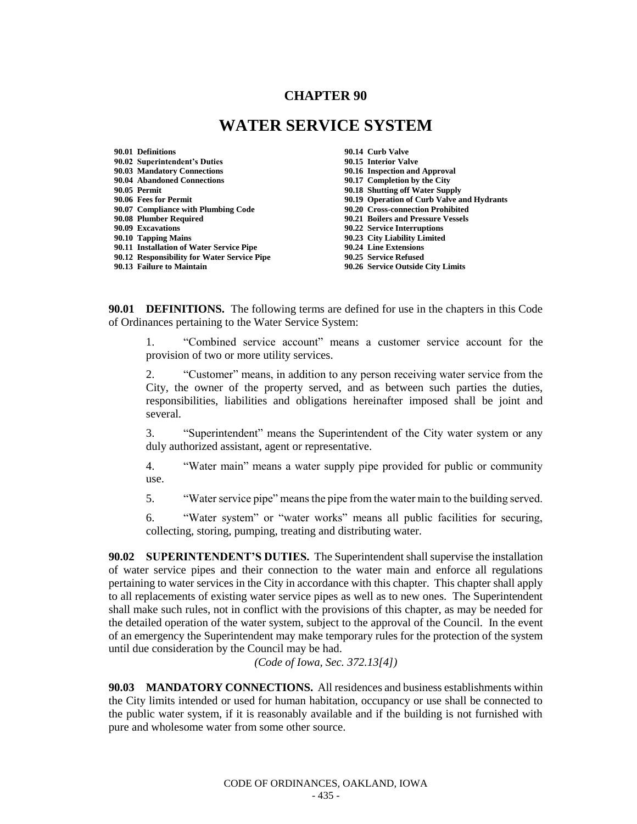## **CHAPTER 90**

## **WATER SERVICE SYSTEM**

**90.01 Definitions 90.14 Curb Valve 90.02 Superintendent's Duties 90.15 Interior Valve 90.04 Abandoned Connections 90.17 Completion by the City 90.07 Compliance with Plumbing Code 90.20 Cross-connection Prohibited 90.08 Plumber Required 90.21 Boilers and Pressure Vessels 90.10 Tapping Mains 90.23 City Liability Limited 90.11 Installation of Water Service Pipe 90.24 Line Extensions 90.12 Responsibility for Water Service Pipe 90.25 Service Refused**

**90.16 Inspection and Approval 90.18 Shutting off Water Supply 90.06 Fees for Permit 90.19 Operation of Curb Valve and Hydrants 90.09 Excavations 90.22 Service Interruptions 90.26 Service Outside City Limits** 

**90.01 DEFINITIONS.** The following terms are defined for use in the chapters in this Code of Ordinances pertaining to the Water Service System:

1. "Combined service account" means a customer service account for the provision of two or more utility services.

2. "Customer" means, in addition to any person receiving water service from the City, the owner of the property served, and as between such parties the duties, responsibilities, liabilities and obligations hereinafter imposed shall be joint and several.

3. "Superintendent" means the Superintendent of the City water system or any duly authorized assistant, agent or representative.

4. "Water main" means a water supply pipe provided for public or community use.

5. "Water service pipe" means the pipe from the water main to the building served.

6. "Water system" or "water works" means all public facilities for securing, collecting, storing, pumping, treating and distributing water.

**90.02 SUPERINTENDENT'S DUTIES.** The Superintendent shall supervise the installation of water service pipes and their connection to the water main and enforce all regulations pertaining to water services in the City in accordance with this chapter. This chapter shall apply to all replacements of existing water service pipes as well as to new ones. The Superintendent shall make such rules, not in conflict with the provisions of this chapter, as may be needed for the detailed operation of the water system, subject to the approval of the Council. In the event of an emergency the Superintendent may make temporary rules for the protection of the system until due consideration by the Council may be had.

*(Code of Iowa, Sec. 372.13[4])*

**90.03 MANDATORY CONNECTIONS.** All residences and business establishments within the City limits intended or used for human habitation, occupancy or use shall be connected to the public water system, if it is reasonably available and if the building is not furnished with pure and wholesome water from some other source.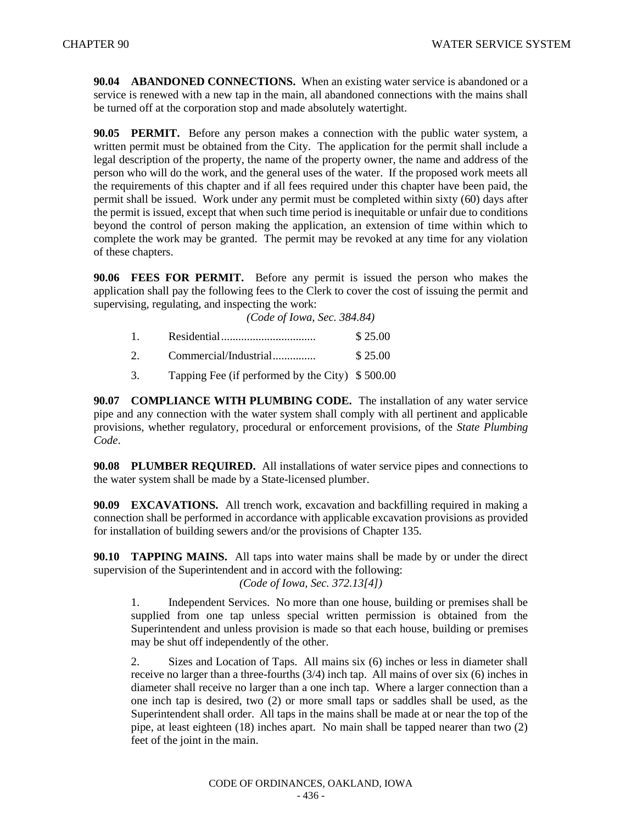**90.04 ABANDONED CONNECTIONS.** When an existing water service is abandoned or a service is renewed with a new tap in the main, all abandoned connections with the mains shall be turned off at the corporation stop and made absolutely watertight.

**90.05 PERMIT.** Before any person makes a connection with the public water system, a written permit must be obtained from the City. The application for the permit shall include a legal description of the property, the name of the property owner, the name and address of the person who will do the work, and the general uses of the water. If the proposed work meets all the requirements of this chapter and if all fees required under this chapter have been paid, the permit shall be issued. Work under any permit must be completed within sixty (60) days after the permit is issued, except that when such time period is inequitable or unfair due to conditions beyond the control of person making the application, an extension of time within which to complete the work may be granted. The permit may be revoked at any time for any violation of these chapters.

**90.06 FEES FOR PERMIT.** Before any permit is issued the person who makes the application shall pay the following fees to the Clerk to cover the cost of issuing the permit and supervising, regulating, and inspecting the work:

*(Code of Iowa, Sec. 384.84)*

|                       | \$25.00 |
|-----------------------|---------|
| Commercial/Industrial | \$25.00 |
|                       |         |

3. Tapping Fee (if performed by the City) \$ 500.00

**90.07 COMPLIANCE WITH PLUMBING CODE.** The installation of any water service pipe and any connection with the water system shall comply with all pertinent and applicable provisions, whether regulatory, procedural or enforcement provisions, of the *State Plumbing Code*.

**90.08 PLUMBER REQUIRED.** All installations of water service pipes and connections to the water system shall be made by a State-licensed plumber.

**90.09 EXCAVATIONS.** All trench work, excavation and backfilling required in making a connection shall be performed in accordance with applicable excavation provisions as provided for installation of building sewers and/or the provisions of Chapter 135.

**90.10 TAPPING MAINS.** All taps into water mains shall be made by or under the direct supervision of the Superintendent and in accord with the following:

*(Code of Iowa, Sec. 372.13[4])*

1. Independent Services. No more than one house, building or premises shall be supplied from one tap unless special written permission is obtained from the Superintendent and unless provision is made so that each house, building or premises may be shut off independently of the other.

2. Sizes and Location of Taps. All mains six (6) inches or less in diameter shall receive no larger than a three-fourths  $(3/4)$  inch tap. All mains of over six  $(6)$  inches in diameter shall receive no larger than a one inch tap. Where a larger connection than a one inch tap is desired, two (2) or more small taps or saddles shall be used, as the Superintendent shall order. All taps in the mains shall be made at or near the top of the pipe, at least eighteen (18) inches apart. No main shall be tapped nearer than two (2) feet of the joint in the main.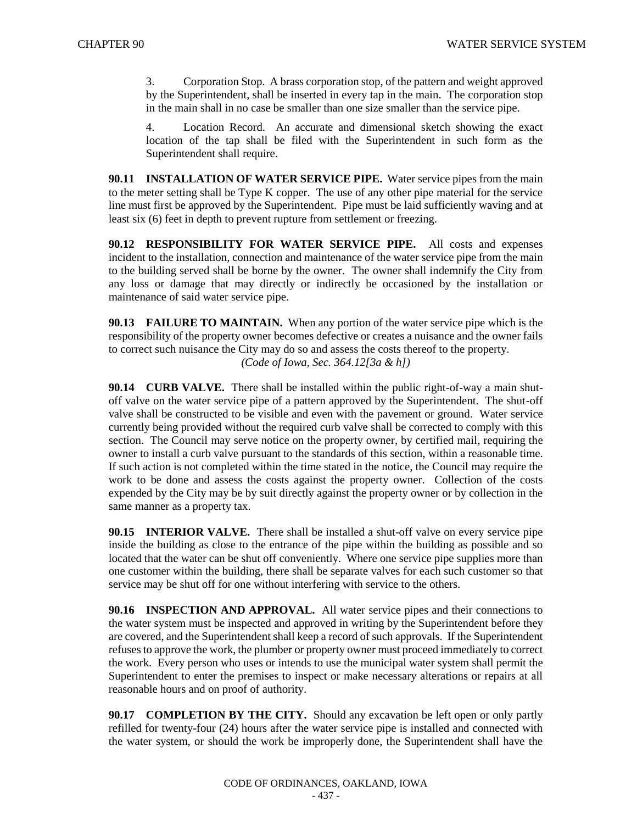3. Corporation Stop. A brass corporation stop, of the pattern and weight approved by the Superintendent, shall be inserted in every tap in the main. The corporation stop in the main shall in no case be smaller than one size smaller than the service pipe.

4. Location Record. An accurate and dimensional sketch showing the exact location of the tap shall be filed with the Superintendent in such form as the Superintendent shall require.

**90.11 INSTALLATION OF WATER SERVICE PIPE.** Water service pipes from the main to the meter setting shall be Type K copper. The use of any other pipe material for the service line must first be approved by the Superintendent. Pipe must be laid sufficiently waving and at least six (6) feet in depth to prevent rupture from settlement or freezing.

**90.12 RESPONSIBILITY FOR WATER SERVICE PIPE.** All costs and expenses incident to the installation, connection and maintenance of the water service pipe from the main to the building served shall be borne by the owner. The owner shall indemnify the City from any loss or damage that may directly or indirectly be occasioned by the installation or maintenance of said water service pipe.

**90.13 FAILURE TO MAINTAIN.** When any portion of the water service pipe which is the responsibility of the property owner becomes defective or creates a nuisance and the owner fails to correct such nuisance the City may do so and assess the costs thereof to the property. *(Code of Iowa, Sec. 364.12[3a & h])*

**90.14 CURB VALVE.** There shall be installed within the public right-of-way a main shutoff valve on the water service pipe of a pattern approved by the Superintendent. The shut-off valve shall be constructed to be visible and even with the pavement or ground. Water service currently being provided without the required curb valve shall be corrected to comply with this section. The Council may serve notice on the property owner, by certified mail, requiring the owner to install a curb valve pursuant to the standards of this section, within a reasonable time. If such action is not completed within the time stated in the notice, the Council may require the work to be done and assess the costs against the property owner. Collection of the costs expended by the City may be by suit directly against the property owner or by collection in the same manner as a property tax.

**90.15 INTERIOR VALVE.** There shall be installed a shut-off valve on every service pipe inside the building as close to the entrance of the pipe within the building as possible and so located that the water can be shut off conveniently. Where one service pipe supplies more than one customer within the building, there shall be separate valves for each such customer so that service may be shut off for one without interfering with service to the others.

**90.16 INSPECTION AND APPROVAL.** All water service pipes and their connections to the water system must be inspected and approved in writing by the Superintendent before they are covered, and the Superintendent shall keep a record of such approvals. If the Superintendent refuses to approve the work, the plumber or property owner must proceed immediately to correct the work. Every person who uses or intends to use the municipal water system shall permit the Superintendent to enter the premises to inspect or make necessary alterations or repairs at all reasonable hours and on proof of authority.

**90.17 COMPLETION BY THE CITY.** Should any excavation be left open or only partly refilled for twenty-four (24) hours after the water service pipe is installed and connected with the water system, or should the work be improperly done, the Superintendent shall have the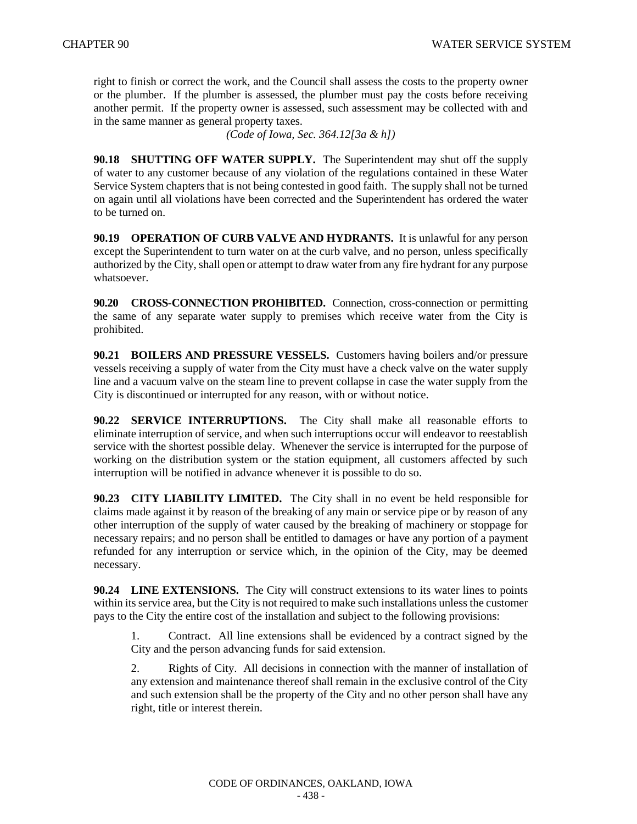right to finish or correct the work, and the Council shall assess the costs to the property owner or the plumber. If the plumber is assessed, the plumber must pay the costs before receiving another permit. If the property owner is assessed, such assessment may be collected with and in the same manner as general property taxes.

*(Code of Iowa, Sec. 364.12[3a & h])*

**90.18 SHUTTING OFF WATER SUPPLY.** The Superintendent may shut off the supply of water to any customer because of any violation of the regulations contained in these Water Service System chapters that is not being contested in good faith. The supply shall not be turned on again until all violations have been corrected and the Superintendent has ordered the water to be turned on.

**90.19 OPERATION OF CURB VALVE AND HYDRANTS.** It is unlawful for any person except the Superintendent to turn water on at the curb valve, and no person, unless specifically authorized by the City, shall open or attempt to draw water from any fire hydrant for any purpose whatsoever.

**90.20 CROSS-CONNECTION PROHIBITED.** Connection, cross-connection or permitting the same of any separate water supply to premises which receive water from the City is prohibited.

**90.21 BOILERS AND PRESSURE VESSELS.** Customers having boilers and/or pressure vessels receiving a supply of water from the City must have a check valve on the water supply line and a vacuum valve on the steam line to prevent collapse in case the water supply from the City is discontinued or interrupted for any reason, with or without notice.

**90.22 SERVICE INTERRUPTIONS.** The City shall make all reasonable efforts to eliminate interruption of service, and when such interruptions occur will endeavor to reestablish service with the shortest possible delay. Whenever the service is interrupted for the purpose of working on the distribution system or the station equipment, all customers affected by such interruption will be notified in advance whenever it is possible to do so.

**90.23 CITY LIABILITY LIMITED.** The City shall in no event be held responsible for claims made against it by reason of the breaking of any main or service pipe or by reason of any other interruption of the supply of water caused by the breaking of machinery or stoppage for necessary repairs; and no person shall be entitled to damages or have any portion of a payment refunded for any interruption or service which, in the opinion of the City, may be deemed necessary.

**90.24 LINE EXTENSIONS.** The City will construct extensions to its water lines to points within its service area, but the City is not required to make such installations unless the customer pays to the City the entire cost of the installation and subject to the following provisions:

1. Contract. All line extensions shall be evidenced by a contract signed by the City and the person advancing funds for said extension.

2. Rights of City. All decisions in connection with the manner of installation of any extension and maintenance thereof shall remain in the exclusive control of the City and such extension shall be the property of the City and no other person shall have any right, title or interest therein.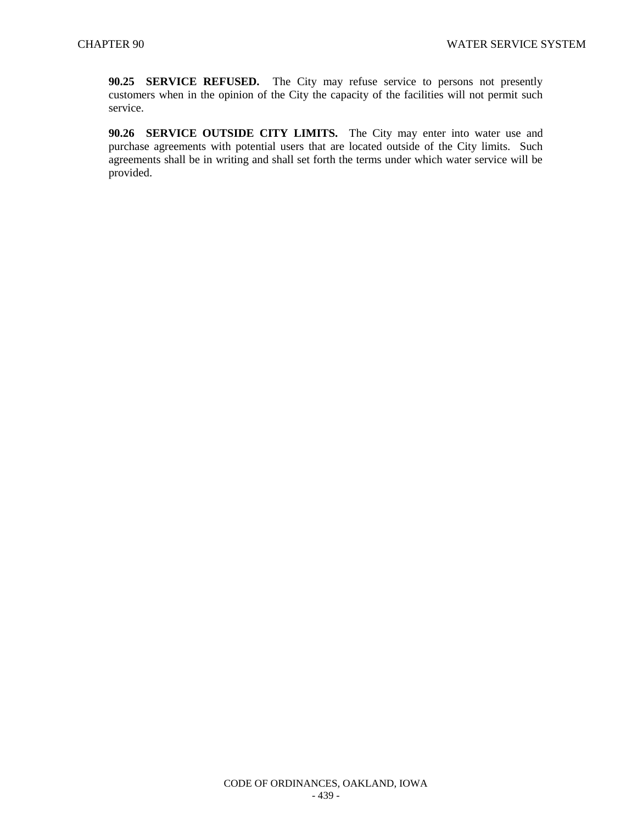**90.25 SERVICE REFUSED.** The City may refuse service to persons not presently customers when in the opinion of the City the capacity of the facilities will not permit such service.

**90.26 SERVICE OUTSIDE CITY LIMITS.** The City may enter into water use and purchase agreements with potential users that are located outside of the City limits. Such agreements shall be in writing and shall set forth the terms under which water service will be provided.